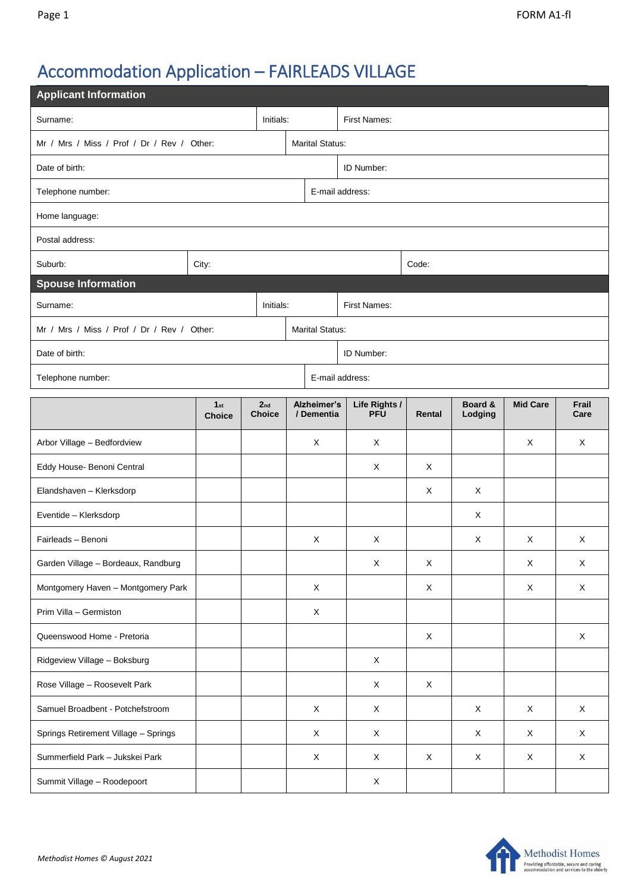# Accommodation Application – FAIRLEADS VILLAGE

| <b>Applicant Information</b>               |                                  |                                  |           |                           |                             |             |                    |                 |               |  |  |
|--------------------------------------------|----------------------------------|----------------------------------|-----------|---------------------------|-----------------------------|-------------|--------------------|-----------------|---------------|--|--|
| Surname:                                   |                                  |                                  | Initials: | First Names:              |                             |             |                    |                 |               |  |  |
| Mr / Mrs / Miss / Prof / Dr / Rev / Other: |                                  |                                  |           | <b>Marital Status:</b>    |                             |             |                    |                 |               |  |  |
| Date of birth:                             |                                  |                                  |           | ID Number:                |                             |             |                    |                 |               |  |  |
| Telephone number:                          |                                  |                                  |           | E-mail address:           |                             |             |                    |                 |               |  |  |
| Home language:                             |                                  |                                  |           |                           |                             |             |                    |                 |               |  |  |
| Postal address:                            |                                  |                                  |           |                           |                             |             |                    |                 |               |  |  |
| Suburb:                                    | City:                            |                                  |           |                           |                             | Code:       |                    |                 |               |  |  |
| <b>Spouse Information</b>                  |                                  |                                  |           |                           |                             |             |                    |                 |               |  |  |
| Initials:<br>Surname:                      |                                  |                                  |           | First Names:              |                             |             |                    |                 |               |  |  |
| Mr / Mrs / Miss / Prof / Dr / Rev / Other: |                                  |                                  |           | <b>Marital Status:</b>    |                             |             |                    |                 |               |  |  |
| Date of birth:                             |                                  |                                  |           | ID Number:                |                             |             |                    |                 |               |  |  |
| Telephone number:                          |                                  | E-mail address:                  |           |                           |                             |             |                    |                 |               |  |  |
|                                            | 1 <sub>st</sub><br><b>Choice</b> | 2 <sub>nd</sub><br><b>Choice</b> |           | Alzheimer's<br>/ Dementia | Life Rights /<br><b>PFU</b> | Rental      | Board &<br>Lodging | <b>Mid Care</b> | Frail<br>Care |  |  |
| Arbor Village - Bedfordview                |                                  |                                  |           | X                         | $\times$                    |             |                    | X               | X             |  |  |
| Eddy House- Benoni Central                 |                                  |                                  |           |                           | X                           | X           |                    |                 |               |  |  |
| Elandshaven - Klerksdorp                   |                                  |                                  |           |                           |                             | X           | X                  |                 |               |  |  |
| Eventide - Klerksdorp                      |                                  |                                  |           |                           |                             |             | X                  |                 |               |  |  |
| Fairleads - Benoni                         |                                  |                                  |           | X                         | X                           |             | X                  | Χ               | X             |  |  |
| Garden Village - Bordeaux, Randburg        |                                  |                                  |           |                           | X                           | X           |                    | X               | X             |  |  |
| Montgomery Haven - Montgomery Park         |                                  |                                  |           | X                         |                             | X           |                    | X               | $\mathsf X$   |  |  |
| Prim Villa - Germiston                     |                                  |                                  |           | X                         |                             |             |                    |                 |               |  |  |
| Queenswood Home - Pretoria                 |                                  |                                  |           |                           |                             | X           |                    |                 | X             |  |  |
| Ridgeview Village - Boksburg               |                                  |                                  |           |                           | X                           |             |                    |                 |               |  |  |
| Rose Village - Roosevelt Park              |                                  |                                  |           |                           | X                           | $\mathsf X$ |                    |                 |               |  |  |
| Samuel Broadbent - Potchefstroom           |                                  |                                  |           | $\mathsf X$               | X                           |             | X                  | $\mathsf X$     | $\mathsf X$   |  |  |
| Springs Retirement Village - Springs       |                                  |                                  |           | X                         | X                           |             | X                  | X               | X             |  |  |
| Summerfield Park - Jukskei Park            |                                  |                                  |           | X                         | X                           | $\mathsf X$ | X                  | X               | $\mathsf X$   |  |  |
| Summit Village - Roodepoort                |                                  |                                  |           |                           | X                           |             |                    |                 |               |  |  |

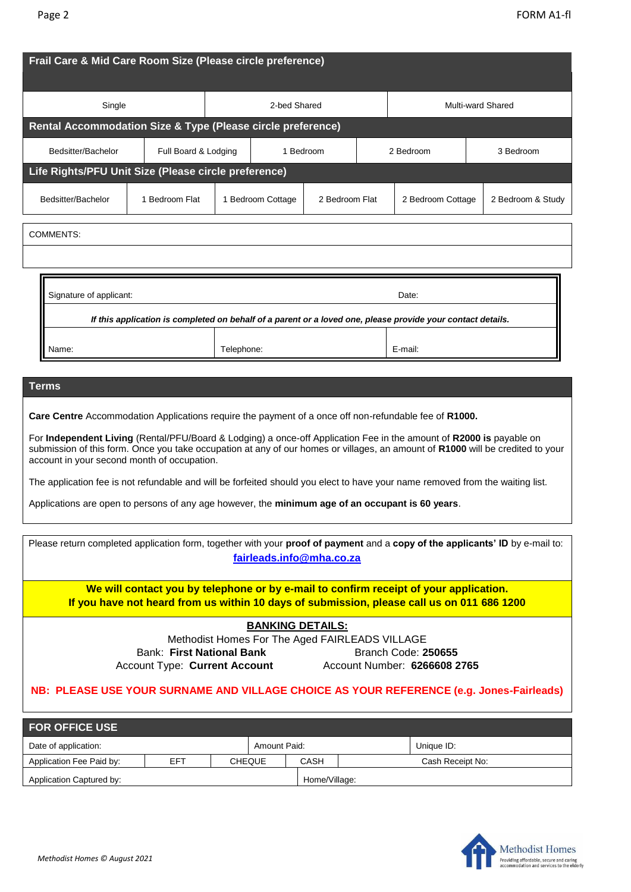| Frail Care & Mid Care Room Size (Please circle preference)                                                                                                                                                                                                                                           |                                                                                                             |                                     |  |  |                          |           |                   |  |  |
|------------------------------------------------------------------------------------------------------------------------------------------------------------------------------------------------------------------------------------------------------------------------------------------------------|-------------------------------------------------------------------------------------------------------------|-------------------------------------|--|--|--------------------------|-----------|-------------------|--|--|
| Single                                                                                                                                                                                                                                                                                               |                                                                                                             | 2-bed Shared                        |  |  | <b>Multi-ward Shared</b> |           |                   |  |  |
| Rental Accommodation Size & Type (Please circle preference)                                                                                                                                                                                                                                          |                                                                                                             |                                     |  |  |                          |           |                   |  |  |
| Bedsitter/Bachelor                                                                                                                                                                                                                                                                                   | Full Board & Lodging                                                                                        | 1 Bedroom                           |  |  |                          | 2 Bedroom | 3 Bedroom         |  |  |
| Life Rights/PFU Unit Size (Please circle preference)                                                                                                                                                                                                                                                 |                                                                                                             |                                     |  |  |                          |           |                   |  |  |
| Bedsitter/Bachelor                                                                                                                                                                                                                                                                                   | 1 Bedroom Flat                                                                                              | 1 Bedroom Cottage<br>2 Bedroom Flat |  |  | 2 Bedroom Cottage        |           | 2 Bedroom & Study |  |  |
| COMMENTS:                                                                                                                                                                                                                                                                                            |                                                                                                             |                                     |  |  |                          |           |                   |  |  |
|                                                                                                                                                                                                                                                                                                      |                                                                                                             |                                     |  |  |                          |           |                   |  |  |
| Signature of applicant:<br>Date:                                                                                                                                                                                                                                                                     |                                                                                                             |                                     |  |  |                          |           |                   |  |  |
|                                                                                                                                                                                                                                                                                                      | If this application is completed on behalf of a parent or a loved one, please provide your contact details. |                                     |  |  |                          |           |                   |  |  |
| Telephone:<br>Name:                                                                                                                                                                                                                                                                                  |                                                                                                             |                                     |  |  |                          | E-mail:   |                   |  |  |
|                                                                                                                                                                                                                                                                                                      |                                                                                                             |                                     |  |  |                          |           |                   |  |  |
| <b>Terms</b>                                                                                                                                                                                                                                                                                         |                                                                                                             |                                     |  |  |                          |           |                   |  |  |
| Care Centre Accommodation Applications require the payment of a once off non-refundable fee of R1000.                                                                                                                                                                                                |                                                                                                             |                                     |  |  |                          |           |                   |  |  |
| For Independent Living (Rental/PFU/Board & Lodging) a once-off Application Fee in the amount of R2000 is payable on<br>submission of this form. Once you take occupation at any of our homes or villages, an amount of R1000 will be credited to your<br>account in your second month of occupation. |                                                                                                             |                                     |  |  |                          |           |                   |  |  |
| The application fee is not refundable and will be forfeited should you elect to have your name removed from the waiting list.                                                                                                                                                                        |                                                                                                             |                                     |  |  |                          |           |                   |  |  |
| Applications are open to persons of any age however, the minimum age of an occupant is 60 years.                                                                                                                                                                                                     |                                                                                                             |                                     |  |  |                          |           |                   |  |  |
| Please return completed application form, together with your proof of payment and a copy of the applicants' ID by e-mail to:<br>fairleads.info@mha.co.za                                                                                                                                             |                                                                                                             |                                     |  |  |                          |           |                   |  |  |
| We will contact you by telephone or by e-mail to confirm receipt of your application.<br>If you have not heard from us within 10 days of submission, please call us on 011 686 1200                                                                                                                  |                                                                                                             |                                     |  |  |                          |           |                   |  |  |
| <b>BANKING DETAILS:</b>                                                                                                                                                                                                                                                                              |                                                                                                             |                                     |  |  |                          |           |                   |  |  |

Methodist Homes For The Aged FAIRLEADS VILLAGE Bank: First National Bank **Branch Code: 250655** Account Type: **Current Account** Account Number: **6266608 2765** 

# **NB: PLEASE USE YOUR SURNAME AND VILLAGE CHOICE AS YOUR REFERENCE (e.g. Jones-Fairleads)**

| <b>FOR OFFICE USE</b>                |     |  |               |               |                  |            |  |  |  |
|--------------------------------------|-----|--|---------------|---------------|------------------|------------|--|--|--|
| Amount Paid:<br>Date of application: |     |  |               |               |                  | Unique ID: |  |  |  |
| Application Fee Paid by:             | EFT |  | <b>CHEQUE</b> | CASH          | Cash Receipt No: |            |  |  |  |
| Application Captured by:             |     |  |               | Home/Village: |                  |            |  |  |  |

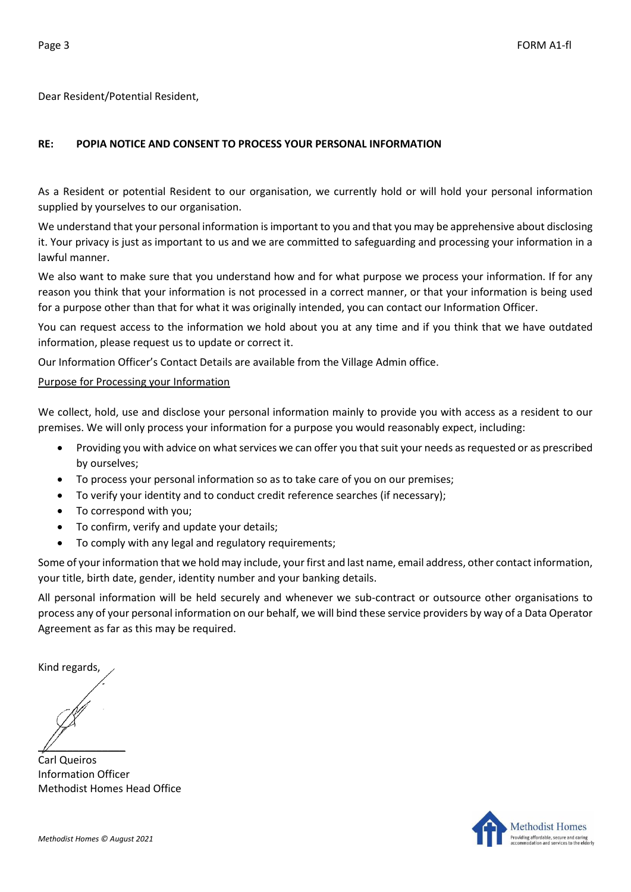Dear Resident/Potential Resident,

## **RE: POPIA NOTICE AND CONSENT TO PROCESS YOUR PERSONAL INFORMATION**

As a Resident or potential Resident to our organisation, we currently hold or will hold your personal information supplied by yourselves to our organisation.

We understand that your personal information is important to you and that you may be apprehensive about disclosing it. Your privacy is just as important to us and we are committed to safeguarding and processing your information in a lawful manner.

We also want to make sure that you understand how and for what purpose we process your information. If for any reason you think that your information is not processed in a correct manner, or that your information is being used for a purpose other than that for what it was originally intended, you can contact our Information Officer.

You can request access to the information we hold about you at any time and if you think that we have outdated information, please request us to update or correct it.

Our Information Officer's Contact Details are available from the Village Admin office.

### Purpose for Processing your Information

We collect, hold, use and disclose your personal information mainly to provide you with access as a resident to our premises. We will only process your information for a purpose you would reasonably expect, including:

- Providing you with advice on what services we can offer you that suit your needs as requested or as prescribed by ourselves;
- To process your personal information so as to take care of you on our premises;
- To verify your identity and to conduct credit reference searches (if necessary);
- To correspond with you;
- To confirm, verify and update your details;
- To comply with any legal and regulatory requirements;

Some of your information that we hold may include, your first and last name, email address, other contact information, your title, birth date, gender, identity number and your banking details.

All personal information will be held securely and whenever we sub-contract or outsource other organisations to process any of your personal information on our behalf, we will bind these service providers by way of a Data Operator Agreement as far as this may be required.

Kind regards,

 $\mathbb{Z}$ 

Carl Queiros Information Officer Methodist Homes Head Office